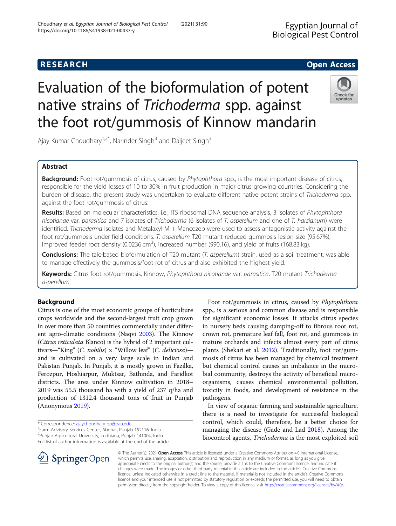# Evaluation of the bioformulation of potent native strains of Trichoderma spp. against the foot rot/gummosis of Kinnow mandarin

Ajay Kumar Choudhary<sup>1,2\*</sup>, Narinder Singh<sup>3</sup> and Daljeet Singh<sup>3</sup>

## Abstract

Background: Foot rot/gummosis of citrus, caused by Phytophthora spp., is the most important disease of citrus, responsible for the yield losses of 10 to 30% in fruit production in major citrus growing countries. Considering the burden of disease, the present study was undertaken to evaluate different native potent strains of Trichoderma spp. against the foot rot/gummosis of citrus.

Results: Based on molecular characteristics, i.e., ITS ribosomal DNA sequence analysis, 3 isolates of Phytophthora nicotianae var. parasitica and 7 isolates of Trichoderma (6 isolates of T. asperellum and one of T. harzianum) were identified. Trichoderma isolates and Metalaxyl-M + Mancozeb were used to assess antagonistic activity against the foot rot/gummosis under field conditions. T. asperellum T20 mutant reduced gummosis lesion size (95.67%), improved feeder root density (0.0236 cm<sup>3</sup>), increased number (990.16), and yield of fruits (168.83 kg).

Conclusions: The talc-based bioformulation of T20 mutant (T. asperellum) strain, used as a soil treatment, was able to manage effectively the gummosis/foot rot of citrus and also exhibited the highest yield.

Keywords: Citrus foot rot/gummosis, Kinnow, Phytophthora nicotianae var. parasitica, T20 mutant Trichoderma asperellum

## Background

Citrus is one of the most economic groups of horticulture crops worldwide and the second-largest fruit crop grown in over more than 50 countries commercially under different agro-climatic conditions (Naqvi [2003\)](#page-9-0). The Kinnow (Citrus reticulata Blanco) is the hybrid of 2 important cultivars—"King" (C. nobilis)  $\times$  "Willow leaf" (C. deliciosa) and is cultivated on a very large scale in Indian and Pakistan Punjab. In Punjab, it is mostly grown in Fazilka, Ferozpur, Hoshiarpur, Muktsar, Bathinda, and Faridkot districts. The area under Kinnow cultivation in 2018– 2019 was 55.5 thousand ha with a yield of 237 q/ha and production of 1312.4 thousand tons of fruit in Punjab (Anonymous [2019\)](#page-9-0).

\* Correspondence: [ajaychoudhary-pp@pau.edu](mailto:ajaychoudhary-pp@pau.edu) <sup>1</sup>

 $\mathscr{L}$  Springer Open

<sup>1</sup> Farm Advisory Services Center, Abohar, Punjab 152116, India 2 Punjab Agricultural University, Ludhiana, Punjab 141004, India

Full list of author information is available at the end of the article

crown rot, premature leaf fall, foot rot, and gummosis in mature orchards and infects almost every part of citrus plants (Shekari et al. [2012\)](#page-10-0). Traditionally, foot rot/gummosis of citrus has been managed by chemical treatment but chemical control causes an imbalance in the microbial community, destroys the activity of beneficial microorganisms, causes chemical environmental pollution, toxicity in foods, and development of resistance in the pathogens. In view of organic farming and sustainable agriculture, there is a need to investigate for successful biological

Foot rot/gummosis in citrus, caused by Phytophthora spp., is a serious and common disease and is responsible for significant economic losses. It attacks citrus species in nursery beds causing damping-off to fibrous root rot,

control, which could, therefore, be a better choice for managing the disease (Gade and Lad [2018\)](#page-9-0). Among the biocontrol agents, Trichoderma is the most exploited soil

© The Author(s). 2021 Open Access This article is licensed under a Creative Commons Attribution 4.0 International License, which permits use, sharing, adaptation, distribution and reproduction in any medium or format, as long as you give appropriate credit to the original author(s) and the source, provide a link to the Creative Commons licence, and indicate if changes were made. The images or other third party material in this article are included in the article's Creative Commons licence, unless indicated otherwise in a credit line to the material. If material is not included in the article's Creative Commons licence and your intended use is not permitted by statutory regulation or exceeds the permitted use, you will need to obtain permission directly from the copyright holder. To view a copy of this licence, visit <http://creativecommons.org/licenses/by/4.0/>.

**RESEARCH CHE Open Access** 



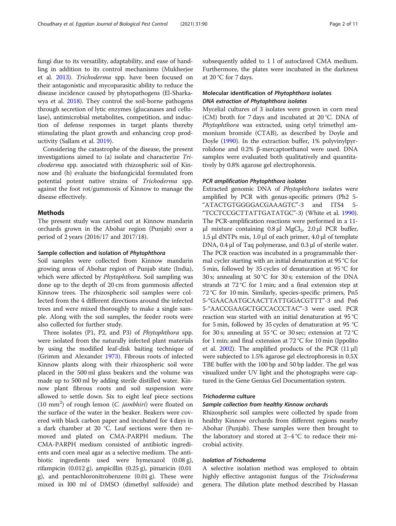fungi due to its versatility, adaptability, and ease of handling in addition to its control mechanisms (Mukherjee et al. [2013\)](#page-9-0). Trichoderma spp. have been focused on their antagonistic and mycoparasitic ability to reduce the disease incidence caused by phytopathogens (El-Sharkawya et al. [2018](#page-9-0)). They control the soil-borne pathogens through secretion of lytic enzymes (glucanases and cellulase), antimicrobial metabolites, competition, and induction of defense responses in target plants thereby stimulating the plant growth and enhancing crop productivity (Sallam et al. [2019](#page-9-0)).

Considering the catastrophe of the disease, the present investigations aimed to (a) isolate and characterize Trichoderma spp. associated with rhizospheric soil of Kinnow and (b) evaluate the biofungicidal formulated from potential potent native strains of Trichoderma spp. against the foot rot/gummosis of Kinnow to manage the disease effectively.

## Methods

The present study was carried out at Kinnow mandarin orchards grown in the Abohar region (Punjab) over a period of 2 years (2016/17 and 2017/18).

## Sample collection and isolation of Phytophthora

Soil samples were collected from Kinnow mandarin growing areas of Abohar region of Punjab state (India), which were affected by *Phytophthora*. Soil sampling was done up to the depth of 20 cm from gummosis affected Kinnow trees. The rhizospheric soil samples were collected from the 4 different directions around the infected trees and were mixed thoroughly to make a single sample. Along with the soil samples, the feeder roots were also collected for further study.

Three isolates (P1, P2, and P3) of Phytophthora spp. were isolated from the naturally infected plant materials by using the modified leaf-disk baiting technique of (Grimm and Alexander [1973\)](#page-9-0). Fibrous roots of infected Kinnow plants along with their rhizospheric soil were placed in the 500 ml glass beakers and the volume was made up to 500 ml by adding sterile distilled water. Kinnow plant fibrous roots and soil suspension were allowed to settle down. Six to eight leaf piece sections (10 mm<sup>2</sup>) of rough lemon (C. jambhiri) were floated on the surface of the water in the beaker. Beakers were covered with black carbon paper and incubated for 4 days in a dark chamber at 20 °C. Leaf sections were then removed and plated on CMA-PARPH medium. The CMA-PARPH medium consisted of antibiotic ingredients and corn meal agar as a selective medium. The antibiotic ingredients used were hymexazol (0.08 g), rifampicin (0.012 g), ampicillin (0.25 g), pimaricin (0.01 g), and pentachloronitrobenzene (0.01 g). These were mixed in l00 ml of DMSO (dimethyl sulfoxide) and subsequently added to 1 l of autoclaved CMA medium. Furthermore, the plates were incubated in the darkness at 20 °C for 7 days.

## Molecular identification of Phytophthora isolates DNA extraction of Phytophthora isolates

Mycelial cultures of 3 isolates were grown in corn meal (CM) broth for 7 days and incubated at 20 °C. DNA of Phytophthora was extracted, using cetyl trimethyl ammonium bromide (CTAB), as described by Doyle and Doyle [\(1990](#page-9-0)). In the extraction buffer, 1% polyvinylpyrrolidone and 0.2% β-mercaptoethanol were used. DNA samples were evaluated both qualitatively and quantitatively by 0.8% agarose gel electrophoresis.

## PCR amplification Phytophthora isolates

Extracted genomic DNA of Phytophthora isolates were amplified by PCR with genus-specific primers (Ph2 5- "ATACTGTGGGGACGAAAGTC"-3 and ITS4 5- "TCCTCCGCTTATTGATATGC"-3) (White et al. [1990](#page-10-0)). The PCR-amplification reactions were performed in a 11 μl mixture containing  $0.8$  μl MgCl<sub>2</sub>,  $2.0$  μl PCR buffer, 1.5 μl dNTPs mix, 1.0 μl of each primer, 4.0 μl of template DNA, 0.4 μl of Taq polymerase, and 0.3 μl of sterile water. The PCR reaction was incubated in a programmable thermal cycler starting with an initial denaturation at 95 °C for 5 min, followed by 35 cycles of denaturation at 95 °C for 30 s; annealing at 50 °C for 30 s; extension of the DNA strands at 72 °C for 1 min; and a final extension step at 72 °C for 10 min. Similarly, species-specific primers, Pn5 5-"GAACAATGCAACTTATTGGACGTTT"-3 and Pn6 5-"AACCGAAGCTGCCACCCTAC"-3 were used. PCR reaction was started with an initial denaturation at 95 °C for 5 min, followed by 35 cycles of denaturation at 95 °C for 30 s; annealing at 55 °C or 30 sec; extension at 72 °C for 1 min; and final extension at 72 °C for 10 min (Ippolito et al. [2002](#page-9-0)). The amplified products of the PCR  $(11 \mu l)$ were subjected to 1.5% agarose gel electrophoresis in 0.5X TBE buffer with the 100 bp and 50 bp ladder. The gel was visualized under UV light and the photographs were captured in the Gene Genius Gel Documentation system.

## Trichoderma culture

## Sample collection from healthy Kinnow orchards

Rhizospheric soil samples were collected by spade from healthy Kinnow orchards from different regions nearby Abohar (Punjab). These samples were then brought to the laboratory and stored at  $2-4$  °C to reduce their microbial activity.

## Isolation of Trichoderma

A selective isolation method was employed to obtain highly effective antagonist fungus of the Trichoderma genera. The dilution plate method described by Hassan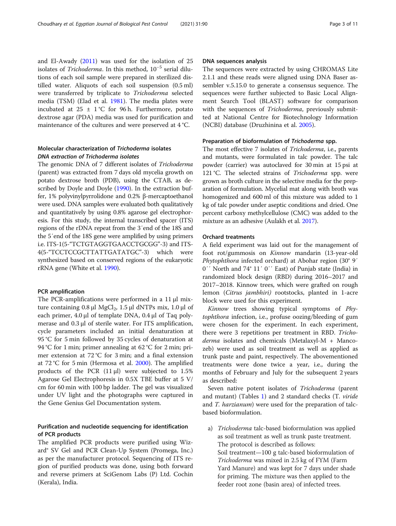and El-Awady ([2011](#page-9-0)) was used for the isolation of 25 isolates of Trichoderma. In this method, 10−<sup>5</sup> serial dilutions of each soil sample were prepared in sterilized distilled water. Aliquots of each soil suspension (0.5 ml) were transferred by triplicate to Trichoderma selected media (TSM) (Elad et al. [1981](#page-9-0)). The media plates were incubated at  $25 \pm 1$  °C for 96 h. Furthermore, potato dextrose agar (PDA) media was used for purification and maintenance of the cultures and were preserved at 4 °C.

## Molecular characterization of Trichoderma isolates DNA extraction of Trichoderma isolates

The genomic DNA of 7 different isolates of Trichoderma (parent) was extracted from 7 days old mycelia growth on potato dextrose broth (PDB), using the CTAB, as described by Doyle and Doyle [\(1990](#page-9-0)). In the extraction buffer, 1% polyvinylpyrrolidone and 0.2% β-mercaptoethanol were used. DNA samples were evaluated both qualitatively and quantitatively by using 0.8% agarose gel electrophoresis. For this study, the internal transcribed spacer (ITS) regions of the rDNA repeat from the 3′end of the 18S and the 5′end of the 18S gene were amplified by using primers i.e. ITS-1(5-"TCTGTAGGTGAACCTGCGG"-3) and ITS-4(5-"TCCTCCGCTTATTGATATGC"-3) which were synthesized based on conserved regions of the eukaryotic rRNA gene (White et al. [1990\)](#page-10-0).

## PCR amplification

The PCR-amplifications were performed in a 11 μl mixture containing 0.8 μl MgCl<sub>2</sub>, 1.5 μl dNTPs mix, 1.0 μl of each primer, 4.0 μl of template DNA, 0.4 μl of Taq polymerase and 0.3 μl of sterile water. For ITS amplification, cycle parameters included an initial denaturation at 95 °C for 5 min followed by 35 cycles of denaturation at 94 °C for 1 min; primer annealing at 62 °C for 2 min; primer extension at 72 °C for 3 min; and a final extension at 72 °C for 5 min (Hermosa et al. [2000](#page-9-0)). The amplified products of the PCR  $(11 \mu l)$  were subjected to 1.5% Agarose Gel Electrophoresis in 0.5X TBE buffer at 5 V/ cm for 60 min with 100 bp ladder. The gel was visualized under UV light and the photographs were captured in the Gene Genius Gel Documentation system.

## Purification and nucleotide sequencing for identification of PCR products

The amplified PCR products were purified using Wizard® SV Gel and PCR Clean-Up System (Promega, Inc.) as per the manufacturer protocol. Sequencing of ITS region of purified products was done, using both forward and reverse primers at SciGenom Labs (P) Ltd. Cochin (Kerala), India.

## DNA sequences analysis

The sequences were extracted by using CHROMAS Lite 2.1.1 and these reads were aligned using DNA Baser assembler v.5.15.0 to generate a consensus sequence. The sequences were further subjected to Basic Local Alignment Search Tool (BLAST) software for comparison with the sequences of Trichoderma, previously submitted at National Centre for Biotechnology Information (NCBI) database (Druzhinina et al. [2005](#page-9-0)).

## Preparation of bioformulation of Trichoderma spp.

The most effective 7 isolates of Trichoderma, i.e., parents and mutants, were formulated in talc powder. The talc powder (carrier) was autoclaved for 30 min at 15 psi at 121 °C. The selected strains of Trichoderma spp. were grown as broth culture in the selective media for the preparation of formulation. Mycelial mat along with broth was homogenized and 600 ml of this mixture was added to 1 kg of talc powder under aseptic conditions and dried. One percent carboxy methylcellulose (CMC) was added to the mixture as an adhesive (Aulakh et al. [2017\)](#page-9-0).

## Orchard treatments

A field experiment was laid out for the management of foot rot/gummosis on Kinnow mandarin (13-year-old Phytophthora infected orchard) at Abohar region (30° 9′ 0′′ North and 74° 11′ 0′′ East) of Punjab state (India) in randomized block design (RBD) during 2016–2017 and 2017–2018. Kinnow trees, which were grafted on rough lemon (Citrus jambhiri) rootstocks, planted in 1-acre block were used for this experiment.

Kinnow trees showing typical symptoms of Phytophthora infection, i.e., profuse oozing/bleeding of gum were chosen for the experiment. In each experiment, there were 3 repetitions per treatment in RBD. Trichoderma isolates and chemicals (Metalaxyl-M + Mancozeb) were used as soil treatment as well as applied as trunk paste and paint, respectively. The abovementioned treatments were done twice a year, i.e., during the months of February and July for the subsequent 2 years as described:

Seven native potent isolates of Trichoderma (parent and mutant) (Tables [1\)](#page-3-0) and 2 standard checks (T. viride and *T. harzianum*) were used for the preparation of talcbased bioformulation.

a) *Trichoderma* talc-based bioformulation was applied as soil treatment as well as trunk paste treatment. The protocol is described as follows: Soil treatment—100 g talc-based bioformulation of Trichoderma was mixed in 2.5 kg of FYM (Farm Yard Manure) and was kept for 7 days under shade for priming. The mixture was then applied to the feeder root zone (basin area) of infected trees.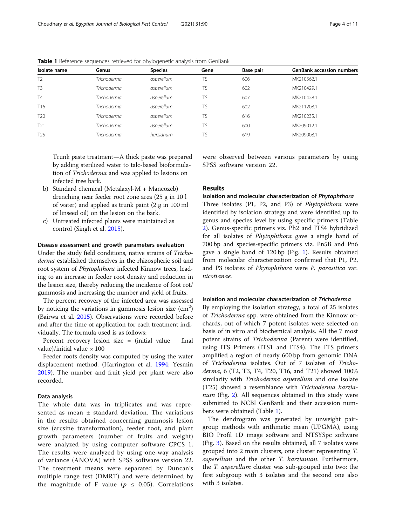| Isolate name    | Genus              | <b>Species</b> | Gene       | Base pair | <b>GenBank accession numbers</b> |
|-----------------|--------------------|----------------|------------|-----------|----------------------------------|
| T <sub>2</sub>  | Trichoderma        | asperellum     | <b>ITS</b> | 606       | MK210562.1                       |
| T <sub>3</sub>  | Trichoderma        | asperellum     | <b>ITS</b> | 602       | MK210429.1                       |
| <b>T4</b>       | Trichoderma        | asperellum     | <b>ITS</b> | 607       | MK210428.1                       |
| T <sub>16</sub> | Trichoderma        | asperellum     | <b>ITS</b> | 602       | MK211208.1                       |
| T <sub>20</sub> | Trichoderma        | asperellum     | <b>ITS</b> | 616       | MK210235.1                       |
| T <sub>21</sub> | <b>Trichoderma</b> | asperellum     | <b>ITS</b> | 600       | MK209012.1                       |
| T <sub>25</sub> | Trichoderma        | harzianum      | <b>ITS</b> | 619       | MK209008.1                       |

<span id="page-3-0"></span>Table 1 Reference sequences retrieved for phylogenetic analysis from GenBank

Trunk paste treatment—A thick paste was prepared by adding sterilized water to talc-based bioformulation of Trichoderma and was applied to lesions on infected tree bark.

- b) Standard chemical (Metalaxyl-M + Mancozeb) drenching near feeder root zone area (25 g in 10 l of water) and applied as trunk paint (2 g in 100 ml of linseed oil) on the lesion on the bark.
- c) Untreated infected plants were maintained as control (Singh et al. [2015](#page-10-0)).

## Disease assessment and growth parameters evaluation

Under the study field conditions, native strains of Trichoderma established themselves in the rhizospheric soil and root system of Phytophthora infected Kinnow trees, leading to an increase in feeder root density and reduction in the lesion size, thereby reducing the incidence of foot rot/ gummosis and increasing the number and yield of fruits.

The percent recovery of the infected area was assessed by noticing the variations in gummosis lesion size  $\rm (cm^2)$ (Bairwa et al. [2015](#page-9-0)). Observations were recorded before and after the time of application for each treatment individually. The formula used is as follows:

Percent recovery lesion size = (initial value − final value)/initial value  $\times$  100

Feeder roots density was computed by using the water displacement method. (Harrington et al. [1994](#page-9-0); Yesmin [2019](#page-10-0)). The number and fruit yield per plant were also recorded.

## Data analysis

The whole data was in triplicates and was represented as mean ± standard deviation. The variations in the results obtained concerning gummosis lesion size (arcsine transformation), feeder root, and plant growth parameters (number of fruits and weight) were analyzed by using computer software CPCS 1. The results were analyzed by using one-way analysis of variance (ANOVA) with SPSS software version 22. The treatment means were separated by Duncan's multiple range test (DMRT) and were determined by the magnitude of F value ( $p \leq 0.05$ ). Correlations were observed between various parameters by using SPSS software version 22.

## Results

Isolation and molecular characterization of Phytophthora

Three isolates (P1, P2, and P3) of Phytophthora were identified by isolation strategy and were identified up to genus and species level by using specific primers (Table [2\)](#page-4-0). Genus-specific primers viz. Ph2 and ITS4 hybridized for all isolates of Phytophthora gave a single band of 700 bp and species-specific primers viz. Pn5B and Pn6 gave a single band of 120 bp (Fig. [1\)](#page-4-0). Results obtained from molecular characterization confirmed that P1, P2, and P3 isolates of Phytophthora were P. parasitica var. nicotianae.

#### Isolation and molecular characterization of Trichoderma

By employing the isolation strategy, a total of 25 isolates of Trichoderma spp. were obtained from the Kinnow orchards, out of which 7 potent isolates were selected on basis of in vitro and biochemical analysis. All the 7 most potent strains of Trichoderma (Parent) were identified, using ITS Primers (ITS1 and ITS4). The ITS primers amplified a region of nearly 600 bp from genomic DNA of Trichoderma isolates. Out of 7 isolates of Trichoderma, 6 (T2, T3, T4, T20, T16, and T21) showed 100% similarity with Trichoderma asperellum and one isolate (T25) showed a resemblance with Trichoderma harzia-num (Fig. [2\)](#page-5-0). All sequences obtained in this study were submitted to NCBI GenBank and their accession numbers were obtained (Table 1).

The dendrogram was generated by unweight pairgroup methods with arithmetic mean (UPGMA), using BIO Profil 1D image software and NTSYSpc software (Fig. [3](#page-5-0)). Based on the results obtained, all 7 isolates were grouped into 2 main clusters, one cluster representing T. asperellum and the other T. harzianum. Furthermore, the T. asperellum cluster was sub-grouped into two: the first subgroup with 3 isolates and the second one also with 3 isolates.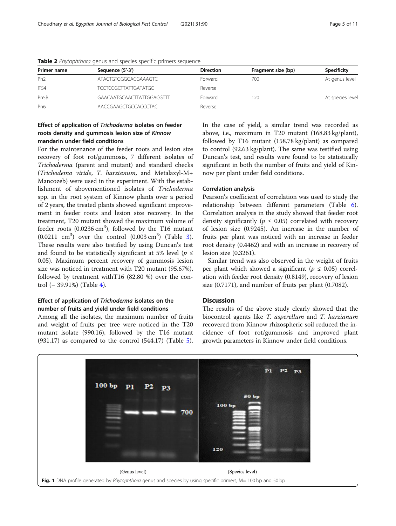| Primer name       | Sequence (5'-3')          | <b>Direction</b> | Fragment size (bp) | Specificity      |
|-------------------|---------------------------|------------------|--------------------|------------------|
| Ph <sub>2</sub>   | ATACTGTGGGGACGAAAGTC      | Forward          | 700                | At genus level   |
| ITS4              | TCCTCCGCTTATTGATATGC      | Reverse          |                    |                  |
| Pn <sub>5</sub> B | GAACAATGCAACTTATTGGACGTTT | Forward          | 120                | At species level |
| Pn <sub>6</sub>   | AACCGAAGCTGCCACCCTAC      | Reverse          |                    |                  |

<span id="page-4-0"></span>Table 2 Phytophthora genus and species specific primers sequence

## Effect of application of Trichoderma isolates on feeder roots density and gummosis lesion size of Kinnow mandarin under field conditions

For the maintenance of the feeder roots and lesion size recovery of foot rot/gummosis, 7 different isolates of Trichoderma (parent and mutant) and standard checks (Trichodema viride, T. harzianum, and Metalaxyl-M+ Mancozeb) were used in the experiment. With the establishment of abovementioned isolates of Trichoderma spp. in the root system of Kinnow plants over a period of 2 years, the treated plants showed significant improvement in feeder roots and lesion size recovery. In the treatment, T20 mutant showed the maximum volume of feeder roots  $(0.0236 \text{ cm}^3)$ , followed by the T16 mutant  $(0.0211 \text{ cm}^3)$  $(0.0211 \text{ cm}^3)$  $(0.0211 \text{ cm}^3)$  over the control  $(0.003 \text{ cm}^3)$  (Table 3). These results were also testified by using Duncan's test and found to be statistically significant at 5% level ( $p \leq$ 0.05). Maximum percent recovery of gummosis lesion size was noticed in treatment with T20 mutant (95.67%), followed by treatment withT16 (82.80 %) over the control (− 39.91%) (Table [4\)](#page-7-0).

## Effect of application of Trichoderma isolates on the number of fruits and yield under field conditions

Among all the isolates, the maximum number of fruits and weight of fruits per tree were noticed in the T20 mutant isolate (990.16), followed by the T16 mutant (931.17) as compared to the control (544.17) (Table [5](#page-8-0)). In the case of yield, a similar trend was recorded as above, i.e., maximum in T20 mutant (168.83 kg/plant), followed by T16 mutant (158.78 kg/plant) as compared to control (92.63 kg/plant). The same was testified using Duncan's test, and results were found to be statistically significant in both the number of fruits and yield of Kinnow per plant under field conditions.

## Correlation analysis

Pearson's coefficient of correlation was used to study the relationship between different parameters (Table [6](#page-8-0)). Correlation analysis in the study showed that feeder root density significantly ( $p \leq 0.05$ ) correlated with recovery of lesion size (0.9245). An increase in the number of fruits per plant was noticed with an increase in feeder root density (0.4462) and with an increase in recovery of lesion size (0.3261).

Similar trend was also observed in the weight of fruits per plant which showed a significant ( $p \leq 0.05$ ) correlation with feeder root density (0.8149), recovery of lesion size (0.7171), and number of fruits per plant (0.7082).

## Discussion

The results of the above study clearly showed that the biocontrol agents like T. asperellum and T. harzianum recovered from Kinnow rhizospheric soil reduced the incidence of foot rot/gummosis and improved plant growth parameters in Kinnow under field conditions.

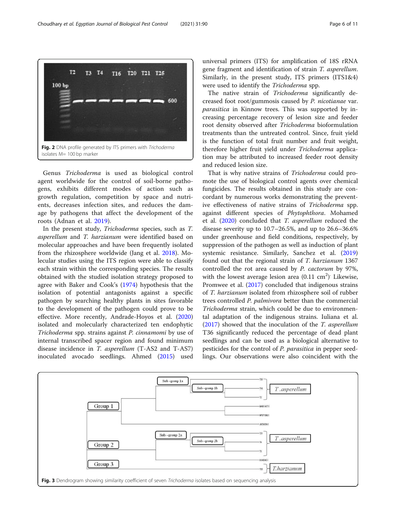Genus Trichoderma is used as biological control agent worldwide for the control of soil-borne pathogens, exhibits different modes of action such as growth regulation, competition by space and nutrients, decreases infection sites, and reduces the damage by pathogens that affect the development of the roots (Adnan et al. [2019\)](#page-9-0).

In the present study, Trichoderma species, such as T. asperellum and T. harzianum were identified based on molecular approaches and have been frequently isolated from the rhizosphere worldwide (Jang et al. [2018\)](#page-9-0). Molecular studies using the ITS region were able to classify each strain within the corresponding species. The results obtained with the studied isolation strategy proposed to agree with Baker and Cook's [\(1974\)](#page-9-0) hypothesis that the isolation of potential antagonists against a specific pathogen by searching healthy plants in sites favorable to the development of the pathogen could prove to be effective. More recently, Andrade-Hoyos et al. ([2020](#page-9-0)) isolated and molecularly characterized ten endophytic Trichoderma spp. strains against P. cinnamomi by use of internal transcribed spacer region and found minimum disease incidence in T. asperellum (T-AS2 and T-AS7) inoculated avocado seedlings. Ahmed [\(2015\)](#page-9-0) used

universal primers (ITS) for amplification of 18S rRNA gene fragment and identification of strain T. asperellum. Similarly, in the present study, ITS primers (ITS1&4) were used to identify the Trichoderma spp.

The native strain of Trichoderma significantly decreased foot root/gummosis caused by P. nicotianae var. parasitica in Kinnow trees. This was supported by increasing percentage recovery of lesion size and feeder root density observed after Trichoderma bioformulation treatments than the untreated control. Since, fruit yield is the function of total fruit number and fruit weight, therefore higher fruit yield under Trichoderma application may be attributed to increased feeder root density and reduced lesion size.

That is why native strains of Trichoderma could promote the use of biological control agents over chemical fungicides. The results obtained in this study are concordant by numerous works demonstrating the preventive effectiveness of native strains of Trichoderma spp. against different species of Phytophthora. Mohamed et al. [\(2020\)](#page-9-0) concluded that T. asperellum reduced the disease severity up to 10.7–26.5%, and up to 26.6–36.6% under greenhouse and field conditions, respectively, by suppression of the pathogen as well as induction of plant systemic resistance. Similarly, Sanchez et al. ([2019](#page-9-0)) found out that the regional strain of T. harzianum 1367 controlled the rot area caused by P. cactorum by 97%, with the lowest average lesion area  $(0.11 \text{ cm}^2)$ . Likewise, Promwee et al. ([2017](#page-9-0)) concluded that indigenous strains of T. harzianum isolated from rhizosphere soil of rubber trees controlled P. palmivora better than the commercial Trichoderma strain, which could be due to environmental adaptation of the indigenous strains. Iuliana et al. ([2017\)](#page-9-0) showed that the inoculation of the T. asperellum T36 significantly reduced the percentage of dead plant seedlings and can be used as a biological alternative to pesticides for the control of P. parasitica in pepper seedlings. Our observations were also coincident with the

<span id="page-5-0"></span>



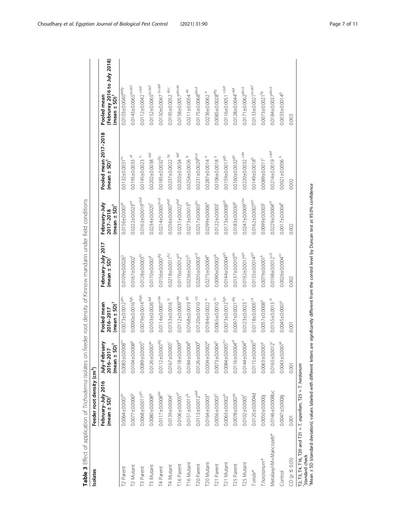<span id="page-6-0"></span>

| Isolates                                                                                                                                                                                                                                         | Feeder root density (cm <sup>3</sup> )         |                                                 |                                               |                                                |                                                 |                                                   |                                                                         |
|--------------------------------------------------------------------------------------------------------------------------------------------------------------------------------------------------------------------------------------------------|------------------------------------------------|-------------------------------------------------|-----------------------------------------------|------------------------------------------------|-------------------------------------------------|---------------------------------------------------|-------------------------------------------------------------------------|
|                                                                                                                                                                                                                                                  | February-July 2016<br>(mean ± SD) <sup>1</sup> | July-February<br>$(mean \pm SD)^T$<br>2016-2017 | $(mean \pm SD)^T$<br>Pooled mean<br>2016-2017 | February-July 2017<br>(mean ± SD) <sup>1</sup> | February-July<br>$(mean \pm SD)^T$<br>2017-2018 | Pooled mean 2017-2018<br>(mean ± SD) <sup>1</sup> | (Februray 2016 to July 2018)<br>(mean ± SD) <sup>1</sup><br>Pooled mean |
| T <sub>2</sub> Parent                                                                                                                                                                                                                            | $0.0064 \pm 0.0007^h$                          | $0.0083 + 0.0008hi$                             | $0.0073 \pm 0.00129h$                         | 0.0109±0.0026 <sup>1</sup>                     | $0.0156 \pm 0.0007$ <sup>h</sup>                | $0.0132 + 0.0031hi$                               | $0.0103 + 0.0040$ <sup>defg</sup>                                       |
| T2 Mutant                                                                                                                                                                                                                                        | $0.0077 + 0.00069$                             | 0.0104±0.00089                                  | $0.00900000016^{fgh}$                         | $0.0167 + 0.0002$ <sup>f</sup>                 | $0.0222 \pm 0.0023$ <sup>ef</sup>               | $0.0195 + 0.0033$ ef                              | $0.0143 \pm 0.0065$ <sub>bcdef</sub>                                    |
| <b>T3 Parent</b>                                                                                                                                                                                                                                 | $0.0068 + 0.00119h$                            | $0.0089 + 0.0005h$                              | $0.0079 + 0.0014e^{fgh}$                      | $0.0128 + 0.0003h$                             | $0.0163 + 0.0019$ <sup>cdef</sup>               | $0.0145 \pm 0.0023$ <sup>h</sup>                  | $0.0112 \pm 0.0042$ cdef                                                |
| T3 Mutant                                                                                                                                                                                                                                        | $0.0080 + 0.00089$                             | $0.0126 + 0.0007$ <sup>e</sup>                  | $0.0103 + 0.0026$ <sup>def</sup>              | $0.0170 + 0.0007$                              | $0.0234 + 0.0025$ <sup>f</sup>                  | $0.0202 + 0.0038$ def                             | $0.0152 \pm 0.0065$ bcdef                                               |
| T4 Parent                                                                                                                                                                                                                                        | $0.0117 + 0.0008$ <sup>de</sup>                | $0.0112 \pm 0.0007^{f}$ <sup>9</sup>            | $0.0114 + 0.0007$ <sup>cde</sup>              | 0.0156±0.0007 <sup>fg</sup>                    | $0.0214 \pm 0.0005^{bcd}$                       | $0.0185 + 0.0032^{f9}$                            | $0.0150 \pm 0.0047$ bcdef                                               |
| T4 Mutant                                                                                                                                                                                                                                        | 0.0139±0.004°                                  | $0.0167 + 0.0005$                               | 0.0153±0.0016 <sup>b</sup>                    | $0.0218 + 0.0011$ <sup>bc</sup>                | $0.0256 \pm 0.0007$ <sup>def</sup>              | $0.0237 + 0.0022$ bc                              | 0.0195±0.0052 abc                                                       |
| T16 Parent                                                                                                                                                                                                                                       | $0.0106 \pm 0.0005$ <sup>ef</sup>              | $0.0118 + 0.0009$ ef                            | $0.0112 \pm 0.0009$ <sup>cde</sup>            | $0.0176 \pm 0.0012$ <sup>ef</sup>              | $0.0231 \pm 0.0022$ <sup>def</sup>              | $0.0203 + 0.0034$ def                             | $0.0158 + 0.0057$ <sup>abcde</sup>                                      |
| T16 Mutant                                                                                                                                                                                                                                       | $0.0151 \pm 0.0011^{b}$                        | $0.0184 + 0.0004b$                              | 0.0168±0.0019 ab                              | 0.0236±0.0021 <sup>b</sup>                     | $0.0273 \pm 0.0013^{b}$                         | $0.0254 + 0.0026$                                 | $0.0211 \pm 0.0054$ <sup>ab</sup>                                       |
| T <sub>20</sub> Parent                                                                                                                                                                                                                           | $0.0113 \pm 0.0012$ <sup>def</sup>             | $0.0126 + 0.0000$ <sup>e</sup>                  | 0.0120±0.0010 <sup>cd</sup>                   | $0.0205 + 0.0003cd$                            | $0.0257 + 0.0003$ <sub>bc</sub>                 | $0.0231 + 0.0029$ bcd                             | $0.0175 \pm 0.0068$ <sup>abcd</sup>                                     |
| T20 Mutant                                                                                                                                                                                                                                       | 0.0164±0.0003ª                                 | $0.0204 + 0.0002a$                              | 0.0184±0.0022 <sup>ª</sup>                    | $0.0275 \pm 0.0004$ <sup>a</sup>               | 0.0299±0.0006 <sup>ª</sup>                      | $0.0287 + 0.0014$ <sup>a</sup>                    | $0.0236 \pm 0.0062$ <sup>a</sup>                                        |
| T21 Parent                                                                                                                                                                                                                                       | $0.0056 \pm 0.0003^{11}$                       | $0.0073 + 0.0004^{1}$                           | $0.0065 \pm 0.0010$ <sup>hi</sup>             | $0.0090 \pm 0.0002^{jk}$                       | $0.0122 \pm 0.0003$                             | $0.0106 + 0.0018$ <sup>1j</sup>                   | $0.0085 \pm 0.0028^{eff9}$                                              |
| T21 Mutant                                                                                                                                                                                                                                       | $0.0063 \pm 0.0002^{h}$                        | $0.0084 + 0.0005h$                              | $0.0073 + 0.0012^{fgh}$                       | 0.0144±0.00049h                                | $0.0173 + 0.00089h$                             | 0.0159±0.00179h                                   | $0.0116 \pm 0.0051$ cdef                                                |
| T25 Parent                                                                                                                                                                                                                                       | $0.0078 + 0.00079$                             | $0.0116 \pm 0.0004$ ef                          | 0.0097±0.0021 <sup>efg</sup>                  | $0.0137 + 0.0010^{de}$                         | 0.0183±0.0030 <sup>9</sup>                      | $0.0160 + 0.0032gh$                               | $0.0128 + 0.0044$ <sup>cdef</sup>                                       |
| T25 Mutant                                                                                                                                                                                                                                       | $0.0102 \pm 0.0005$                            | $0.0144 \pm 0.004$ <sup>d</sup>                 | 0.0123±0.0023                                 | 0.0192±0.00179h                                | $0.0247 + 0.0009$ <sup>cde</sup>                | $0.0220 + 0.0032$ cde                             | $0.0171 \pm 0.0062$ <sup>abcd</sup>                                     |
| T.viride*                                                                                                                                                                                                                                        | 0.0120±0.0004d                                 | $0.0115 \pm 0.0006$ <sup>ef</sup>               | 0.0118±0.0005 <sup>cd</sup>                   | $0.0135 \pm 0.00149^{h}$                       | 0.0162±0.00079h                                 | $0.0149 + 0.0018h$                                | $0.0133 \pm 0.0021$ bcdef                                               |
| T.harzianum*                                                                                                                                                                                                                                     | $0.0050 \pm 0.0000j$                           | $0.0063 + 0.0007$                               | $0.0057 + 0.0008$                             | $0.0079 + 0.0001$ <sup>k</sup>                 | 0.0099±0.0003                                   | $0.0089 + 0.0011j$                                | $0.0073 + 0.0021^{fg}$                                                  |
| Metalaxyl-M+Mancozeb*                                                                                                                                                                                                                            | $0.0146 + 0.008$ bc                            | $0.0163 + 0.0012^c$                             | 0.0155±0.0013 <sup>b</sup>                    | 0.0198±0.0012 <sup>cd</sup>                    | $0.0229 + 0.0004$ <sup>ef</sup>                 | $0.0214 \pm 0.0019$ cdef                          | $0.0184 \pm 0.0037$ <sup>abcd</sup>                                     |
| Control                                                                                                                                                                                                                                          | 0.0047±0.0008j                                 | $0.0043 + 0.0007$ <sup>*</sup>                  | 0.0045±0.0007                                 | $0.0026 \pm 0.0004$ <sup>m</sup>               | 0.0017±0.004 <sup>k</sup>                       | $0.0021 \pm 0.0006$ <sup>k</sup>                  | $0.0033 + 0.00149$                                                      |
| $CD (p \le 0.05)$                                                                                                                                                                                                                                | 0.001                                          | 0.001                                           | 0.001                                         | 0.002                                          | 0.002                                           | 0.002                                             | 0.003                                                                   |
| Mean ± SD (standard deviation); values labeled with different letters are significantly different from the control level by Duncan test at 95.0% confidence<br>T2, T3, T4, T16, T20 and T21 = T. asperllum, T25 = T. harzianum<br>Standard check |                                                |                                                 |                                               |                                                |                                                 |                                                   |                                                                         |
|                                                                                                                                                                                                                                                  |                                                |                                                 |                                               |                                                |                                                 |                                                   |                                                                         |

Table 3 Effect of application of Trichoderma isolates on feeder root density of Kinnow mandarin under field conditions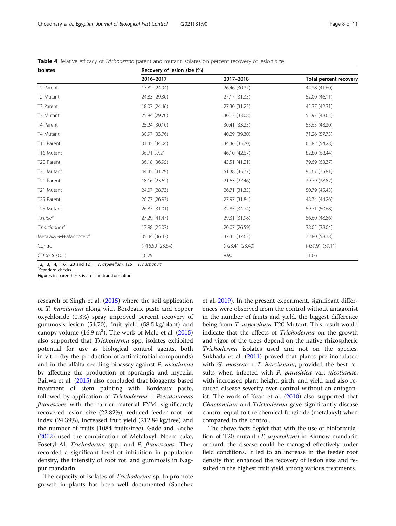| Isolates              | Recovery of lesion size (%) |                   |                               |
|-----------------------|-----------------------------|-------------------|-------------------------------|
|                       | 2016-2017                   | 2017-2018         | <b>Total percent recovery</b> |
| T <sub>2</sub> Parent | 17.82 (24.94)               | 26.46 (30.27)     | 44.28 (41.60)                 |
| T2 Mutant             | 24.83 (29.30)               | 27.17 (31.35)     | 52.00 (46.11)                 |
| T3 Parent             | 18.07 (24.46)               | 27.30 (31.23)     | 45.37 (42.31)                 |
| T3 Mutant             | 25.84 (29.70)               | 30.13 (33.08)     | 55.97 (48.63)                 |
| T4 Parent             | 25.24 (30.10)               | 30.41 (33.25)     | 55.65 (48.30)                 |
| T4 Mutant             | 30.97 (33.76)               | 40.29 (39.30)     | 71.26 (57.75)                 |
| T16 Parent            | 31.45 (34.04)               | 34.36 (35.70)     | 65.82 (54.28)                 |
| T16 Mutant            | 36.71 37.21                 | 46.10 (42.67)     | 82.80 (68.44)                 |
| T20 Parent            | 36.18 (36.95)               | 43.51 (41.21)     | 79.69 (63.37)                 |
| T20 Mutant            | 44.45 (41.79)               | 51.38 (45.77)     | 95.67 (75.81)                 |
| T21 Parent            | 18.16 (23.62)               | 21.63 (27.46)     | 39.79 (38.87)                 |
| T21 Mutant            | 24.07 (28.73)               | 26.71 (31.35)     | 50.79 (45.43)                 |
| T25 Parent            | 20.77 (26.93)               | 27.97 (31.84)     | 48.74 (44.26)                 |
| T25 Mutant            | 26.87 (31.01)               | 32.85 (34.74)     | 59.71 (50.68)                 |
| $T.\mathsf{viride}^*$ | 27.29 (41.47)               | 29.31 (31.98)     | 56.60 (48.86)                 |
| T.harzianum*          | 17.98 (25.07)               | 20.07 (26.59)     | 38.05 (38.04)                 |
| Metalaxyl-M+Mancozeb* | 35.44 (36.43)               | 37.35 (37.63)     | 72.80 (58.78)                 |
| Control               | $(-)16.50(23.64)$           | $(-)23.41(23.40)$ | $(-)39.91(39.11)$             |
| $CD (p \le 0.05)$     | 10.29                       | 8.90              | 11.66                         |

<span id="page-7-0"></span>Table 4 Relative efficacy of Trichoderma parent and mutant isolates on percent recovery of lesion size

T2, T3, T4, T16, T20 and T21 = T. asperellum, T25 = T. harzianum

Standard checks

Figures in parenthesis is arc sine transformation

research of Singh et al. [\(2015\)](#page-10-0) where the soil application of T. harzianum along with Bordeaux paste and copper oxychloride (0.3%) spray improved percent recovery of gummosis lesion (54.70), fruit yield (58.5 kg/plant) and canopy volume  $(16.9 \text{ m}^3)$ . The work of Melo et al.  $(2015)$  $(2015)$  $(2015)$ also supported that Trichoderma spp. isolates exhibited potential for use as biological control agents, both in vitro (by the production of antimicrobial compounds) and in the alfalfa seedling bioassay against P. nicotianae by affecting the production of sporangia and mycelia. Bairwa et al. ([2015](#page-9-0)) also concluded that bioagents based treatment of stem painting with Bordeaux paste, followed by application of Trichoderma + Pseudomonas fluorescens with the carrier material FYM, significantly recovered lesion size (22.82%), reduced feeder root rot index (24.39%), increased fruit yield (212.84 kg/tree) and the number of fruits (1084 fruits/tree). Gade and Koche ([2012](#page-9-0)) used the combination of Metalaxyl, Neem cake, Fosetyl-Al, Trichoderma spp., and P. fluorescens. They recorded a significant level of inhibition in population density, the intensity of root rot, and gummosis in Nagpur mandarin.

The capacity of isolates of Trichoderma sp. to promote growth in plants has been well documented (Sanchez et al. [2019](#page-9-0)). In the present experiment, significant differences were observed from the control without antagonist in the number of fruits and yield, the biggest difference being from T. asperellum T20 Mutant. This result would indicate that the effects of Trichoderma on the growth and vigor of the trees depend on the native rhizospheric Trichoderma isolates used and not on the species. Sukhada et al. [\(2011\)](#page-10-0) proved that plants pre-inoculated with G. mosseae  $+$  T. harzianum, provided the best results when infected with P. parasitica var. nicotianae, with increased plant height, girth, and yield and also reduced disease severity over control without an antagonist. The work of Kean et al. [\(2010](#page-9-0)) also supported that Chaetomium and Trichoderma gave significantly disease control equal to the chemical fungicide (metalaxyl) when compared to the control.

The above facts depict that with the use of bioformulation of T20 mutant (T. asperellum) in Kinnow mandarin orchard, the disease could be managed effectively under field conditions. It led to an increase in the feeder root density that enhanced the recovery of lesion size and resulted in the highest fruit yield among various treatments.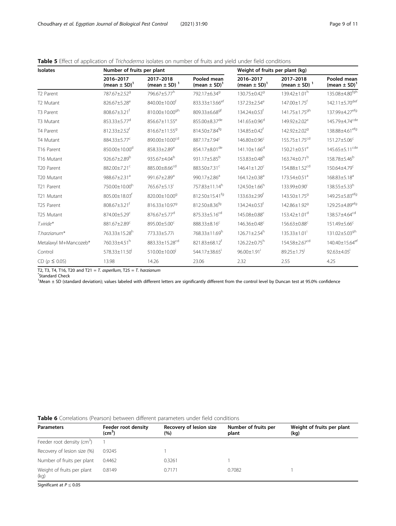| Isolates              | Number of fruits per plant                |                                           |                                             | Weight of fruits per plant (kg)           |                                           |                                             |
|-----------------------|-------------------------------------------|-------------------------------------------|---------------------------------------------|-------------------------------------------|-------------------------------------------|---------------------------------------------|
|                       | 2016-2017<br>(mean $\pm$ SD) <sup>1</sup> | 2017-2018<br>(mean $\pm$ SD) <sup>1</sup> | Pooled mean<br>(mean $\pm$ SD) <sup>1</sup> | 2016-2017<br>(mean $\pm$ SD) <sup>1</sup> | 2017-2018<br>(mean $\pm$ SD) <sup>1</sup> | Pooled mean<br>(mean $\pm$ SD) <sup>1</sup> |
| T <sub>2</sub> Parent | 787.67±2.52 <sup>9</sup>                  | 796.67±5.77 <sup>h</sup>                  | 792.17±6.34 <sup>9</sup>                    | 130.75±0.42 <sup>9</sup>                  | $139.42 \pm 1.01^h$                       | 135.08±4.80 <sup>fgh</sup>                  |
| T <sub>2</sub> Mutant | 826.67±5.28 <sup>e</sup>                  | 840.00±10.00 <sup>f</sup>                 | 833.33±13.66 <sup>ef</sup>                  | 137.23±2.54 <sup>e</sup>                  | 147.00±1.75 <sup>f</sup>                  | $142.11 \pm 5.70^{\text{def}}$              |
| T3 Parent             | 808.67±3.21 <sup>f</sup>                  | 810.00±10.00gh                            | 809.33±6.68 <sup>gf</sup>                   | $134.24 \pm 0.53$ <sup>t</sup>            | 141.75±1.75 <sup>gh</sup>                 | 137.99±4.27 <sup>efg</sup>                  |
| T3 Mutant             | 853.33±5.77 <sup>d</sup>                  | 856.67±11.55 <sup>e</sup>                 | 855.00±8.37 <sup>de</sup>                   | 141.65±0.96 <sup>d</sup>                  | $149.92 \pm 2.02^e$                       | 145.79±4.74 <sup>cde</sup>                  |
| T4 Parent             | $812.33 \pm 2.52$ <sup>f</sup>            | 816.67±11.55 <sup>9</sup>                 | 814.50±7.84 <sup>fg</sup>                   | 134.85±0.42 <sup>†</sup>                  | 142.92±2.02 <sup>9</sup>                  | 138.88±4.61 <sup>efg</sup>                  |
| T4 Mutant             | 884.33±5.77 <sup>c</sup>                  | 890.00±10.00 <sup>cd</sup>                | 887.17±7.94 <sup>c</sup>                    | 146.80±0.96 <sup>c</sup>                  | 155.75±1.75 <sup>cd</sup>                 | 151.27±5.06 <sup>c</sup>                    |
| T16 Parent            | 850.00±10.00 <sup>d</sup>                 | $858.33 \pm 2.89^e$                       | 854.17±8.01 <sup>de</sup>                   | $141.10 \pm 1.66^d$                       | $150.21 \pm 0.51^e$                       | $145.65 \pm 5.11^{\text{cde}}$              |
| T16 Mutant            | $926.67 \pm 2.89^b$                       | 935.67±4.04 <sup>b</sup>                  | 931.17±5.85 <sup>b</sup>                    | 153.83±0.48 <sup>b</sup>                  | 163.74±0.71 <sup>b</sup>                  | 158.78±5.46 <sup>b</sup>                    |
| T20 Parent            | 882.00±7.21 <sup>c</sup>                  | 885.00±8.66cd                             | 883.50±7.31 <sup>c</sup>                    | $146.41 \pm 1.20^c$                       | 154.88±1.52 <sup>cd</sup>                 | $150.64 \pm 4.79^c$                         |
| T20 Mutant            | 988.67±2.31 <sup>a</sup>                  | 991.67±2.89 <sup>a</sup>                  | 990.17±2.86 <sup>a</sup>                    | 164.12±0.38 <sup>a</sup>                  | 173.54±0.51 <sup>a</sup>                  | $168.83 \pm 5.18^a$                         |
| T21 Parent            | 750.00±10.00h                             | 765.67±5.13 <sup>i</sup>                  | 757.83±11.14h                               | $124.50\pm1.66^h$                         | 133.99±0.90'                              | $138.55 \pm 5.33^h$                         |
| T21 Mutant            | 805.00±18.03 <sup>f</sup>                 | 820.00±10.009                             | 812.50±15.41 <sup>fg</sup>                  | $133.63 \pm 2.99$ <sup>t</sup>            | 143.50±1.75 <sup>9</sup>                  | 149.25±5.83 <sup>efg</sup>                  |
| T25 Parent            | $808.67 \pm 3.21$ <sup>t</sup>            | 816.33±10.97 <sup>9</sup>                 | 812.50±8.36 <sup>fg</sup>                   | $134.24 \pm 0.53$ <sup>t</sup>            | 142.86±1.92 <sup>9</sup>                  | 129.25±4.89 <sup>efg</sup>                  |
| T25 Mutant            | 874.00±5.29 <sup>c</sup>                  | $876.67 \pm 5.77$ <sup>d</sup>            | 875.33±5.16 <sup>cd</sup>                   | 145.08±0.88 <sup>c</sup>                  | $153.42 \pm 1.01$ <sup>d</sup>            | 138.57±4.64 <sup>cd</sup>                   |
| T.viride*             | 881.67±2.89 <sup>c</sup>                  | 895.00±5.00 <sup>c</sup>                  | 888.33±8.16 <sup>c</sup>                    | 146.36±0.48 <sup>c</sup>                  | 156.63±0.88 <sup>c</sup>                  | 151.49±5.66 <sup>c</sup>                    |
| T.harzianum*          | 763.33±15.28h                             | 773.33±5.77i                              | 768.33±11.69h                               | $126.71 \pm 2.54$ <sup>h</sup>            | $135.33 \pm 1.01$ <sup>i</sup>            | 131.02±5.03 <sup>gh</sup>                   |
| Metalaxyl M+Mancozeb* | 760.33±4.51 <sup>h</sup>                  | 883.33±15.28 <sup>cd</sup>                | 821.83±68.12 <sup>f</sup>                   | $126.22 \pm 0.75$ <sup>h</sup>            | 154.58±2.67 <sup>cd</sup>                 | 140.40±15.64 <sup>ef</sup>                  |
| Control               | 578.33±11.50                              | 510.00±10.00                              | 544.17±38.65                                | $96.00 \pm 1.91$ <sup>i</sup>             | $89.25 \pm 1.75$                          | $92.63 \pm 4.05$                            |
| CD ( $p \le 0.05$ )   | 13.98                                     | 14.26                                     | 23.06                                       | 2.32                                      | 2.55                                      | 4.25                                        |

<span id="page-8-0"></span>Table 5 Effect of application of Trichoderma isolates on number of fruits and yield under field conditions

T2, T3, T4, T16, T20 and T21 = T. asperllum, T25 = T. harzianum

Standard Check

<sup>1</sup>Mean ± SD (standard deviation); values labeled with different letters are significantly different from the control level by Duncan test at 95.0% confidence

| <b>Parameters</b>                  | Feeder root density<br>$\textsf{(cm}^3\textsf{)}$ | Recovery of lesion size<br>(%) | Number of fruits per<br>plant | Weight of fruits per plant<br>(kq) |
|------------------------------------|---------------------------------------------------|--------------------------------|-------------------------------|------------------------------------|
| Feeder root density ( $cm3$ )      |                                                   |                                |                               |                                    |
| Recovery of lesion size (%)        | 0.9245                                            |                                |                               |                                    |
| Number of fruits per plant         | 0.4462                                            | 0.3261                         |                               |                                    |
| Weight of fruits per plant<br>(kq) | 0.8149                                            | 0.7171                         | 0.7082                        |                                    |

Significant at  $P \leq 0.05$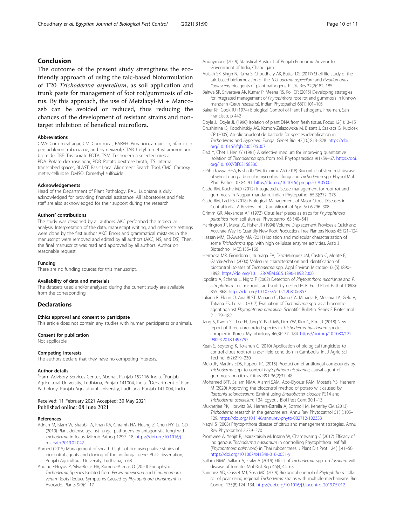## <span id="page-9-0"></span>Conclusion

The outcome of the present study strengthens the ecofriendly approach of using the talc-based bioformulation of T20 Trichoderma asperellum, as soil application and trunk paste for management of foot rot/gummosis of citrus. By this approach, the use of Metalaxyl-M + Mancozeb can be avoided or reduced, thus reducing the chances of the development of resistant strains and nontarget inhibition of beneficial microflora.

#### **Abbreviations**

CMA: Corn meal agar; CM: Corn meal; PARPH: Pimaricin, ampicillin, rifampicin pentachloronitrobenzene, and hymexazol; CTAB: Cetyl trimethyl ammonium bromide; TBE: Tris borate EDTA; TSM: Trichoderma selected media; PDA: Potato dextrose agar; PDB: Potato dextrose broth; ITS: Internal transcribed spacer; BLAST: Basic Local Alignment Search Tool; CMC: Carboxy methylcellulose; DMSO: Dimethyl sulfoxide

#### Acknowledgements

Head of the Department of Plant Pathology, PAU, Ludhiana is duly acknowledged for providing financial assistance. All laboratories and field staff are also acknowledged for their support during the research.

#### Authors' contributions

The study was designed by all authors. AKC performed the molecular analysis. Interpretation of the data, manuscript writing, and reference settings were done by the first author AKC. Errors and grammatical mistakes in the manuscript were removed and edited by all authors (AKC, NS, and DS). Then, the final manuscript was read and approved by all authors. Author on reasonable request.

#### Funding

There are no funding sources for this manuscript.

#### Availability of data and materials

The datasets used and/or analyzed during the current study are available from the corresponding

## **Declarations**

#### Ethics approval and consent to participate

This article does not contain any studies with human participants or animals.

#### Consent for publication

Not applicable.

#### Competing interests

The authors declare that they have no competing interests.

#### Author details

<sup>1</sup> Farm Advisory Services Center, Abohar, Punjab 152116, India. <sup>2</sup> Punjab Agricultural University, Ludhiana, Punjab 141004, India. <sup>3</sup>Department of Plant Pathology, Punjab Agricultural University, Ludhiana, Punjab 141 004, India.

## Received: 11 February 2021 Accepted: 30 May 2021 Published online: 08 June 2021

#### References

- Adnan M, Islam W, Shabbir A, Khan KA, Ghramh HA, Huang Z, Chen HY, Lu GD (2019) Plant defense against fungal pathogens by antagonistic fungi with Trichoderma in focus. Microb Pathog 129:7–18. [https://doi.org/10.1016/j.](https://doi.org/10.1016/j.micpath.2019.01.042) [micpath.2019.01.042](https://doi.org/10.1016/j.micpath.2019.01.042)
- Ahmed (2015) Management of sheath blight of rice using native strains of biocontrol agents and cloning of the antifungal gene. Ph.D. dissertation, Punjab Agricultural University, Ludhiana, p 68
- Andrade-Hoyos P, Silva-Rojas HV, Romero-Arenas O (2020) Endophytic Trichoderma Species Isolated from Persea americana and Cinnamomum verum Roots Reduce Symptoms Caused by Phytophthora cinnamomi in Avocado. Plants 9(9):1–17
- Anonymous (2019) Statistical Abstract of Punjab Economic Advisor to Government of India, Chandigarh.
- Aulakh SK, Singh N, Raina S, Choudhary AK, Buttar DS (2017) Shelf life study of the talc based bioformulation of the Trichoderma asperellum and Pseudomonas fluorescens, bioagents of plant pathogens. Pl Dis Res 32(2):182–185
- Bairwa SR, Srivastava AK, Kumar P, Meena RS, Koli CR (2015) Developing strategies for integrated management of Phytophthora root rot and gummosis in Kinnow mandarin (Citrus reticulata). Indian Phytopathol 68(1):101–105
- Baker KF, Cook RJ (1974) Biological Control of Plant Pathogens. Freeman, San Francisco, p 442
- Doyle JJ, Doyle JL (1990) Isolation of plant DNA from fresh tissue. Focus 12(1):13–15 Druzhinina IS, Kopchinskiy AG, Komon-Zelazowska M, Bissett J, Szakacs G, Kubicek
- CP (2005) An oligonucleotide barcode for species identification in Trichoderma and Hypocrea. Fungal Genet Biol 42(10):813–828. [https://doi.](https://doi.org/10.1016/j.fgb.2005.06.007) [org/10.1016/j.fgb.2005.06.007](https://doi.org/10.1016/j.fgb.2005.06.007)
- Elad Y, Chet I, HenisY (1981) A selective medium for improving quantitative isolation of Trichoderma spp. from soil. Phytoparasitica 9(1):59–67. [https://doi.](https://doi.org/10.1007/BF03158330) [org/10.1007/BF03158330](https://doi.org/10.1007/BF03158330)
- El-Sharkawya HHA, Rashadb YM, Ibrahimc AS (2018) Biocontrol of stem rust disease of wheat using arbuscular mycorrhizal fungi and Trichoderma spp. Physiol Mol Plant Pathol 103:84–91. <https://doi.org/10.1016/j.pmpp.2018.05.002>
- Gade RM, Koche MD (2012) Integrated disease management for root rot and gummosis in Nagpur mandarin. Indian Phytopathol 65(3):272–275
- Gade RM, Lad RS (2018) Biological Management of Major Citrus Diseases in Central India–A Review. Int J Curr Microbiol App Sci 6:296–308
- Grimm GR, Alexander AF (1973) Citrus leaf pieces as traps for Phytophthora parasitica from soil slurries. Phytopathol 63:540–541
- Harrington JT, Mexal JG, Fisher JT (1994) Volume Displacement Provides a Quick and Accurate Way To Quantify New Root Production. Tree Planters Notes 45:121–124
- Hassan MM, El-Awady MA (2011) Isolation and molecular characterization of some Trichoderma spp. with high cellulase enzyme activities. Arab J Biotechnol 14(2):155–166
- Hermosa MR, Grondona I, Iturriaga EA, Diaz-Minguez JM, Castro C, Monte E, Garcia-Acha I (2000) Molecular characterization and identification of biocontrol isolates of Trichoderma spp. Appl Environ Microbiol 66(5):1890– 1898. <https://doi.org/10.1128/AEM.66.5.1890-1898.2000>
- Ippolito A, Schena L, Nigro F (2002) Detection of Phytophthora nicotianae and P. citrophthora in citrus roots and soils by nested PCR. Eur J Plant Pathol 108(8): 855–868. <https://doi.org/10.1023/A:1021208106857>
- Iuliana R, Florin O, Ana BLST, Mariana C, Diana CA, Mihaela B, Melania LA, Gelu V, Tatiana ES, Luiza J (2017) Evaluation of Trichoderma spp. as a biocontrol agent against Phytophthora parasitica. Scientific Bulletin. Series F Biotechnol 21:179–182
- Jang S, Kwon SL, Lee H, Jang Y, Park MS, Lim YW, Kim C, Kim JJ (2018) New report of three unrecorded species in Trichoderma harzianum species complex in Korea. Mycobiology 46(3):177–184. [https://doi.org/10.1080/122](https://doi.org/10.1080/12298093.2018.1497792) [98093.2018.1497792](https://doi.org/10.1080/12298093.2018.1497792)
- Kean S, Soytong K, To-anun C (2010) Application of biological fungicides to control citrus root rot under field condition in Cambodia. Int J Agric Sci Technol 6(2):219–230
- Melo JF, Martins EDS, Kupper KC (2015) Production of antifungal compounds by Trichoderma spp. to control Phytophthora nicotianae, causal agent of gummosis on citrus. Citrus R&T 36(2):37–48
- Mohamed BFF, Sallam NMA, Alamri SAM, Abo-Elyousr KAM, Mostafa YS, Hashem M (2020) Approving the biocontrol method of potato wilt caused by Ralstonia solanacearum (Smith) using Enterobacter cloacae PS14 and Trichoderma asperellum T34. Egypt J Biol Pest Cont 30:1–13
- Mukherjee PK, Horwitz BA, Herrera-Estrella A, Schmoll M, Kenerley CM (2013) Trichoderma research in the genome era. Annu Rev Phytopathol 51(1):105– 129. <https://doi.org/10.1146/annurev-phyto-082712-102353>
- Naqvi S (2003) Phytophthora disease of citrus and management strategies. Annu Rev Phytopathol 2:239–270
- Promwee A, Yenjit P, Issarakraisila M, Intana W, Chamswarng C (2017) Efficacy of indigenous Trichoderma harzianum in controlling Phytophthora leaf fall (Phytophthora palmivora) in Thai rubber trees. J Plant Dis Prot 124(1):41–50. <https://doi.org/10.1007/s41348-016-0051-y>
- Sallam NMA, Sallam A, Eraky A (2019) Effect of Trichoderma spp. on fusarium wilt disease of tomato. Mol Biol Rep 46(4):44–63
- Sanchez AD, Ousset MJ, Sosa MC (2019) Biological control of Phytophthora collar rot of pear using regional Trichoderma strains with multiple mechanisms. Biol Control 135(8):124–134. <https://doi.org/10.1016/j.biocontrol.2019.05.012>